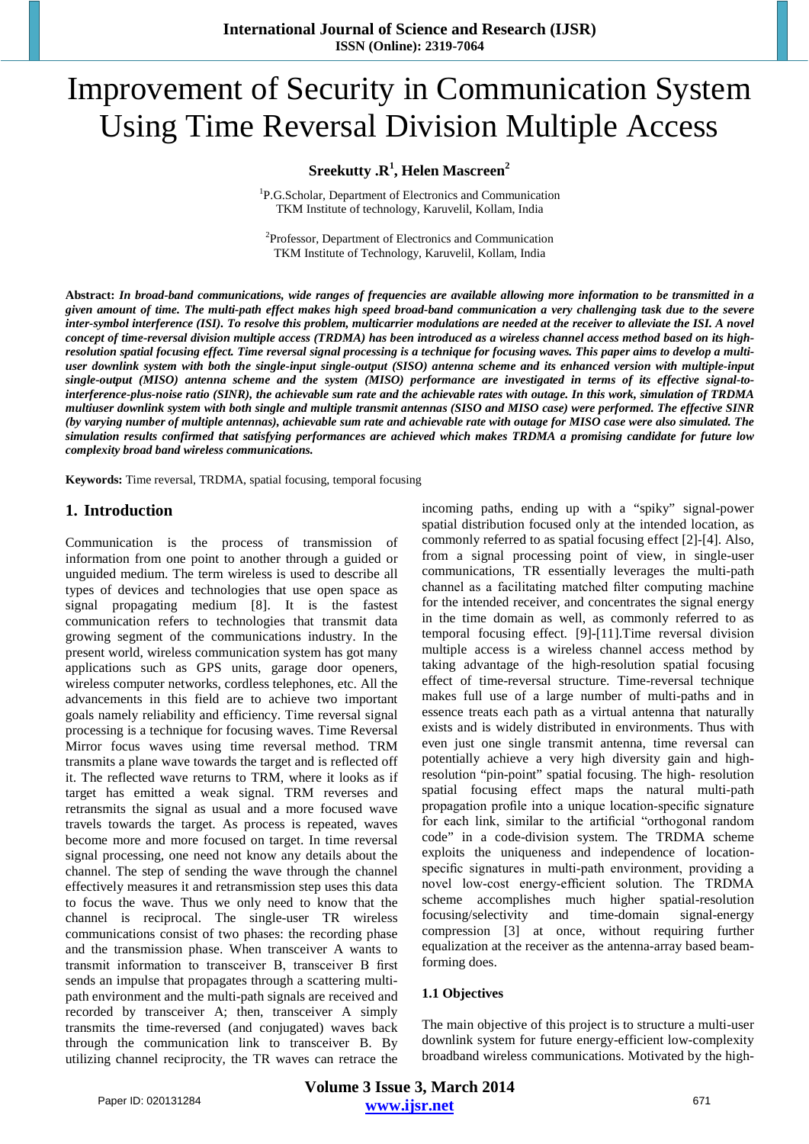# Improvement of Security in Communication System Using Time Reversal Division Multiple Access

## **Sreekutty .R1 , Helen Mascreen2**

1 P.G.Scholar, Department of Electronics and Communication TKM Institute of technology, Karuvelil, Kollam, India

2 Professor, Department of Electronics and Communication TKM Institute of Technology, Karuvelil, Kollam, India

**Abstract:** *In broad-band communications, wide ranges of frequencies are available allowing more information to be transmitted in a given amount of time. The multi-path effect makes high speed broad-band communication a very challenging task due to the severe inter-symbol interference (ISI). To resolve this problem, multicarrier modulations are needed at the receiver to alleviate the ISI. A novel concept of time-reversal division multiple access (TRDMA) has been introduced as a wireless channel access method based on its highresolution spatial focusing effect. Time reversal signal processing is a technique for focusing waves. This paper aims to develop a multiuser downlink system with both the single-input single-output (SISO) antenna scheme and its enhanced version with multiple-input single-output (MISO) antenna scheme and the system (MISO) performance are investigated in terms of its effective signal-tointerference-plus-noise ratio (SINR), the achievable sum rate and the achievable rates with outage. In this work, simulation of TRDMA multiuser downlink system with both single and multiple transmit antennas (SISO and MISO case) were performed. The effective SINR (by varying number of multiple antennas), achievable sum rate and achievable rate with outage for MISO case were also simulated. The simulation results confirmed that satisfying performances are achieved which makes TRDMA a promising candidate for future low complexity broad band wireless communications.* 

**Keywords:** Time reversal, TRDMA, spatial focusing, temporal focusing

## **1. Introduction**

Communication is the process of transmission of information from one point to another through a guided or unguided medium. The term wireless is used to describe all types of devices and technologies that use open space as signal propagating medium [8]. It is the fastest communication refers to technologies that transmit data growing segment of the communications industry. In the present world, wireless communication system has got many applications such as GPS units, garage door openers, wireless computer networks, cordless telephones, etc. All the advancements in this field are to achieve two important goals namely reliability and efficiency. Time reversal signal processing is a technique for focusing waves. Time Reversal Mirror focus waves using time reversal method. TRM transmits a plane wave towards the target and is reflected off it. The reflected wave returns to TRM, where it looks as if target has emitted a weak signal. TRM reverses and retransmits the signal as usual and a more focused wave travels towards the target. As process is repeated, waves become more and more focused on target. In time reversal signal processing, one need not know any details about the channel. The step of sending the wave through the channel effectively measures it and retransmission step uses this data to focus the wave. Thus we only need to know that the channel is reciprocal. The single-user TR wireless communications consist of two phases: the recording phase and the transmission phase. When transceiver A wants to transmit information to transceiver B, transceiver B first sends an impulse that propagates through a scattering multipath environment and the multi-path signals are received and recorded by transceiver A; then, transceiver A simply transmits the time-reversed (and conjugated) waves back through the communication link to transceiver B. By utilizing channel reciprocity, the TR waves can retrace the incoming paths, ending up with a "spiky" signal-power spatial distribution focused only at the intended location, as commonly referred to as spatial focusing effect [2]-[4]. Also, from a signal processing point of view, in single-user communications, TR essentially leverages the multi-path channel as a facilitating matched filter computing machine for the intended receiver, and concentrates the signal energy in the time domain as well, as commonly referred to as temporal focusing effect. [9]-[11].Time reversal division multiple access is a wireless channel access method by taking advantage of the high-resolution spatial focusing effect of time-reversal structure. Time-reversal technique makes full use of a large number of multi-paths and in essence treats each path as a virtual antenna that naturally exists and is widely distributed in environments. Thus with even just one single transmit antenna, time reversal can potentially achieve a very high diversity gain and highresolution "pin-point" spatial focusing. The high- resolution spatial focusing effect maps the natural multi-path propagation profile into a unique location-specific signature for each link, similar to the artificial "orthogonal random code" in a code-division system. The TRDMA scheme exploits the uniqueness and independence of locationspecific signatures in multi-path environment, providing a novel low-cost energy-efficient solution. The TRDMA scheme accomplishes much higher spatial-resolution focusing/selectivity and time-domain signal-energy compression [3] at once, without requiring further equalization at the receiver as the antenna-array based beamforming does.

#### **1.1 Objectives**

The main objective of this project is to structure a multi-user downlink system for future energy-efficient low-complexity broadband wireless communications. Motivated by the high-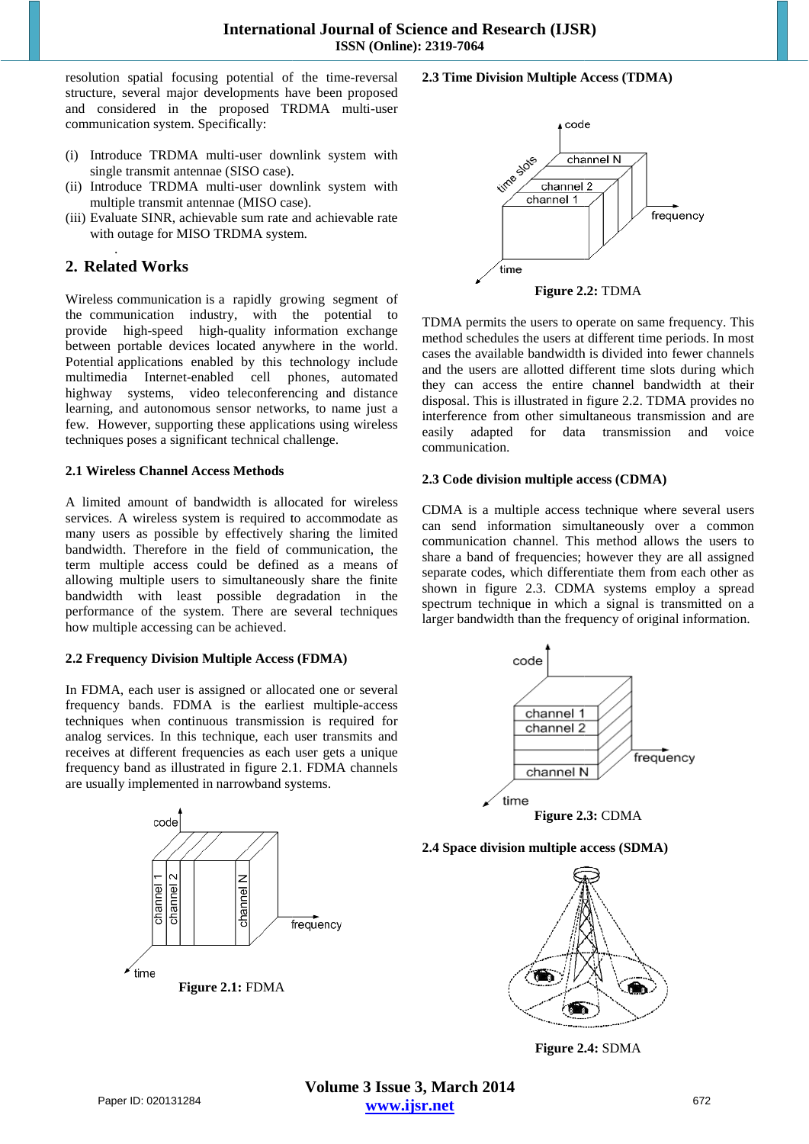resolution spatial focusing potential of the time-reversal structure, several major developments have been proposed structure, several major developments have been proposed<br>and considered in the proposed TRDMA multi-user communication system. Specifically:

- (i) Introduce TRDMA multi-user downlink system with single transmit antennae (SISO case).
- (ii) Introduce TRDMA multi-user downlink system with multiple transmit antennae (MISO case).
- (iii) Evaluate SINR, achievable sum rate and achievable rate with outage for MISO TRDMA system.

#### . **2. Related Works**

Wireless communication is a rapidly growing segment of the communication industry, with the potential to provide high-speed high-quality information exchange between portable devices located anywhere in the world. Potential applications enabled by this technology include multimedia Internet-enabled cell phones highway systems, video teleconferencing and distance learning, and autonomous sensor networks, to name just a few. However, supporting these applications using techniques poses a significant technical challenge. duce TRDMA multi-user downlink system with<br>e transmit antennae (SISO case).<br>duce TRDMA multi-user downlink system with<br>ple transmit antennae (MISO case).<br>ate SINR, achievable sum rate and achievable rate<br>outage for MISO TR vay systems, video teleconferencing and distance ng, and autonomous sensor networks, to name just a However, supporting these applications using wireless

#### **2.1 Wireless Channel Access Methods**

A limited amount of bandwidth is allocated for wireless services. A wireless system is required to accommodate as many users as possible by effectively sharing the limited bandwidth. Therefore in the field of communication, the term multiple access could be defined as a means of allowing multiple users to simultaneously share the finite bandwidth with least possible degradation in the performance of the system. There are several techniques how multiple accessing can be achieved. technical challenge.<br> **Wireless Channel Access Methods**<br>
limited amount of bandwidth is allocated for wireless<br>
vices. A wireless system is required to accommodate as<br>
ny users as possible by effectively sharing the limite field of communication, the ould be defined as a means of to simultaneously share the finite possible degradation in the em. There are several techniques

## **2.2 Frequency Division Multiple Access (FDMA)**

In FDMA, each user is assigned or allocated one or several frequency bands. FDMA is the earliest multiple-access techniques when continuous transmission is required for techniques when continuous transmission is required for analog services. In this technique, each user transmits and receives at different frequencies as each user gets a unique receives at different frequencies as each user gets a unique frequency band as illustrated in figure 2.1. FDMA channels are usually implemented in narrowband systems.



#### **2.3 Time Division Multiple Access (TDMA)**



TDMA permits the users to operate on same frequency. This method schedules the users at different time periods. In most cases the available bandwidth is divided into fewer channels and the users are allotted different time slots during which they can access the entire channel bandwidth at their disposal. This is illustrated in figure 2.2. TDMA provides no interference from other simultaneous transmission and are easily adapted for data transmission and voice communication.

#### **2.3 Code division multiple access (CDMA)**

CDMA is a multiple access technique where several users can send information simultaneously over a common communication channel. This method allows the users to share a band of frequencies; however they are all assigned share a band of frequencies; however they are all assigned separate codes, which differentiate them from each other as shown in figure 2.3. CDMA systems employ a spread spectrum technique in which a signal is transmitted on a larger bandwidth than the frequency of original information.



#### **2.4 Space division multiple access (SDMA)**



**Figure 2.4 2.4:** SDMA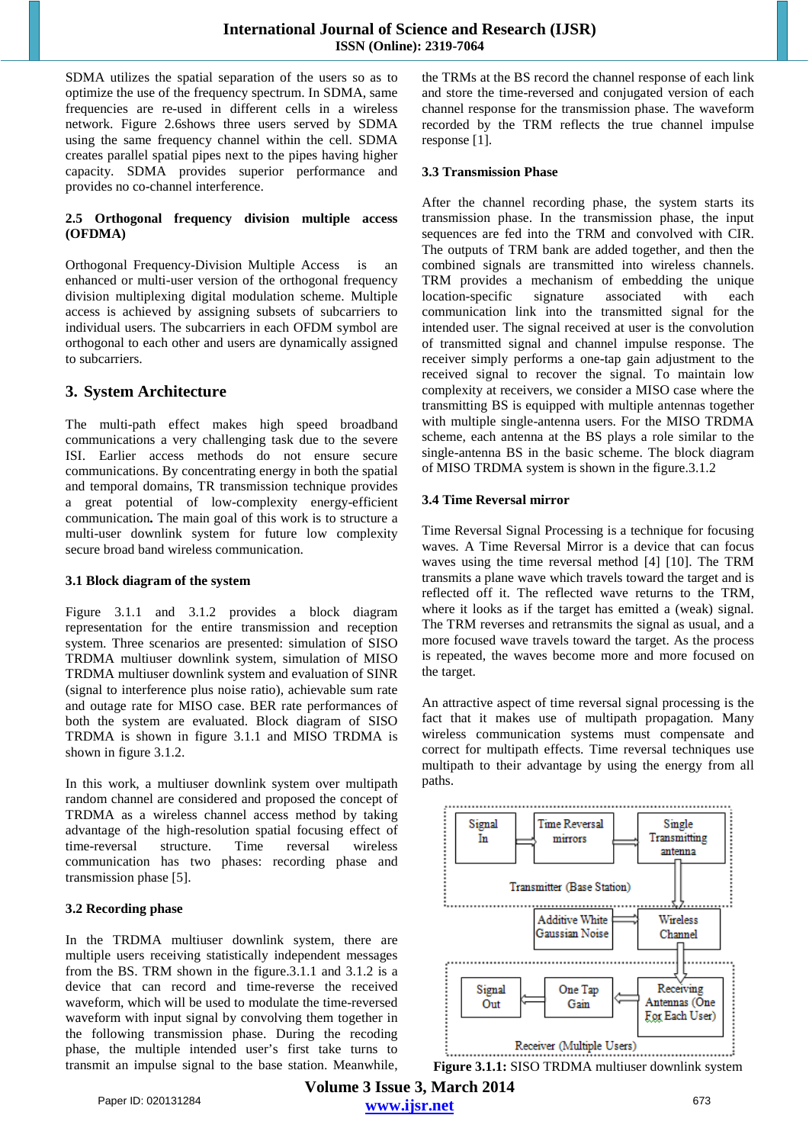SDMA utilizes the spatial separation of the users so as to optimize the use of the frequency spectrum. In SDMA, same frequencies are re-used in different cells in a wireless network. Figure 2.6shows three users served by SDMA using the same frequency channel within the cell. SDMA creates parallel spatial pipes next to the pipes having higher capacity. SDMA provides superior performance and provides no co-channel interference.

## **2.5 Orthogonal frequency division multiple access (OFDMA)**

Orthogonal Frequency-Division Multiple Access is an enhanced or multi-user version of the orthogonal frequency division multiplexing digital modulation scheme. Multiple access is achieved by assigning subsets of subcarriers to individual users. The subcarriers in each OFDM symbol are orthogonal to each other and users are dynamically assigned to subcarriers.

# **3. System Architecture**

The multi-path effect makes high speed broadband communications a very challenging task due to the severe ISI. Earlier access methods do not ensure secure communications. By concentrating energy in both the spatial and temporal domains, TR transmission technique provides a great potential of low-complexity energy-efficient communication**.** The main goal of this work is to structure a multi-user downlink system for future low complexity secure broad band wireless communication.

## **3.1 Block diagram of the system**

Figure 3.1.1 and 3.1.2 provides a block diagram representation for the entire transmission and reception system. Three scenarios are presented: simulation of SISO TRDMA multiuser downlink system, simulation of MISO TRDMA multiuser downlink system and evaluation of SINR (signal to interference plus noise ratio), achievable sum rate and outage rate for MISO case. BER rate performances of both the system are evaluated. Block diagram of SISO TRDMA is shown in figure 3.1.1 and MISO TRDMA is shown in figure 3.1.2.

In this work, a multiuser downlink system over multipath random channel are considered and proposed the concept of TRDMA as a wireless channel access method by taking advantage of the high-resolution spatial focusing effect of time-reversal structure. Time reversal wireless communication has two phases: recording phase and transmission phase [5].

## **3.2 Recording phase**

In the TRDMA multiuser downlink system, there are multiple users receiving statistically independent messages from the BS. TRM shown in the figure.3.1.1 and 3.1.2 is a device that can record and time-reverse the received waveform, which will be used to modulate the time-reversed waveform with input signal by convolving them together in the following transmission phase. During the recoding phase, the multiple intended user's first take turns to transmit an impulse signal to the base station. Meanwhile, the TRMs at the BS record the channel response of each link and store the time-reversed and conjugated version of each channel response for the transmission phase. The waveform recorded by the TRM reflects the true channel impulse response [1].

## **3.3 Transmission Phase**

After the channel recording phase, the system starts its transmission phase. In the transmission phase, the input sequences are fed into the TRM and convolved with CIR. The outputs of TRM bank are added together, and then the combined signals are transmitted into wireless channels. TRM provides a mechanism of embedding the unique location-specific signature associated with each communication link into the transmitted signal for the intended user. The signal received at user is the convolution of transmitted signal and channel impulse response. The receiver simply performs a one-tap gain adjustment to the received signal to recover the signal. To maintain low complexity at receivers, we consider a MISO case where the transmitting BS is equipped with multiple antennas together with multiple single-antenna users. For the MISO TRDMA scheme, each antenna at the BS plays a role similar to the single-antenna BS in the basic scheme. The block diagram of MISO TRDMA system is shown in the figure.3.1.2

## **3.4 Time Reversal mirror**

Time Reversal Signal Processing is a technique for focusing waves. A Time Reversal Mirror is a device that can focus waves using the time reversal method [4] [10]. The TRM transmits a plane wave which travels toward the target and is reflected off it. The reflected wave returns to the TRM, where it looks as if the target has emitted a (weak) signal. The TRM reverses and retransmits the signal as usual, and a more focused wave travels toward the target. As the process is repeated, the waves become more and more focused on the target.

An attractive aspect of time reversal signal processing is the fact that it makes use of multipath propagation. Many wireless communication systems must compensate and correct for multipath effects. Time reversal techniques use multipath to their advantage by using the energy from all paths.

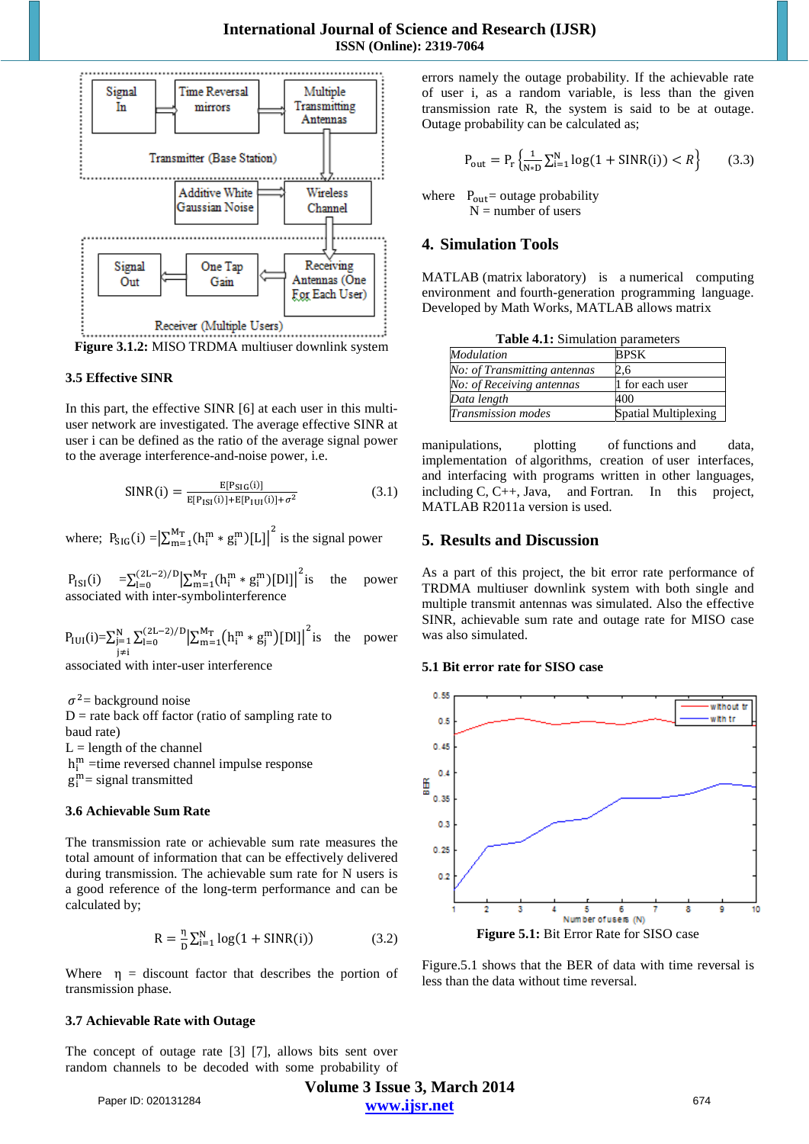

Figure 3.1.2: MISO TRDMA multiuser downlink system

#### 3.5 Effective SINR

In this part, the effective SINR [6] at each user in this multiuser network are investigated. The average effective SINR at user i can be defined as the ratio of the average signal power to the average interference-and-noise power, *i.e.* 

$$
SINR(i) = \frac{E[P_{SIG}(i)]}{E[P_{ISI}(i)] + E[P_{IUI}(i)] + \sigma^2}
$$
(3.1)

where;  $P_{\text{SIG}}(i) = \left| \sum_{m=1}^{M_T} (h_i^m * g_i^m) [L] \right|^2$  is the signal power

 $P_{ISI}(i) = \sum_{l=0}^{(2L-2)/D} \left| \sum_{m=1}^{M_T} (h_i^m * g_i^m) [D] \right|^2$  is associated with inter-symbolinterference the power

 $P_{\text{IUI}}(i) = \sum_{j=1}^{N} \sum_{l=0}^{(2L-2)/D} \left| \sum_{m=1}^{M_T} (h_i^m * g_j^m) [D] \right|^2$  is the power  $j \neq i$ 

associated with inter-user interference

 $\sigma^2$  = background noise  $D$  = rate back off factor (ratio of sampling rate to baud rate)  $L =$ length of the channel  $h_i^m$  =time reversed channel impulse response  $g_i^m$  = signal transmitted

#### 3.6 Achievable Sum Rate

The transmission rate or achievable sum rate measures the total amount of information that can be effectively delivered during transmission. The achievable sum rate for N users is a good reference of the long-term performance and can be calculated by;

$$
R = \frac{\eta}{D} \sum_{i=1}^{N} \log(1 + \text{SINR}(i))
$$
 (3.2)

Where  $\eta$  = discount factor that describes the portion of transmission phase.

#### 3.7 Achievable Rate with Outage

The concept of outage rate [3] [7], allows bits sent over random channels to be decoded with some probability of errors namely the outage probability. If the achievable rate of user i, as a random variable, is less than the given transmission rate R, the system is said to be at outage. Outage probability can be calculated as;

$$
P_{\text{out}} = P_{\text{r}} \left\{ \frac{1}{N \ast D} \sum_{i=1}^{N} \log(1 + \text{SINR}(i)) < R \right\} \tag{3.3}
$$

where  $P_{out}$  = outage probability  $N =$  number of users

## **4. Simulation Tools**

MATLAB (matrix laboratory) is a numerical computing environment and fourth-generation programming language. Developed by Math Works, MATLAB allows matrix

| <b>Table 4.1:</b> Simulation parameters |                      |
|-----------------------------------------|----------------------|
| Modulation                              | <b>BPSK</b>          |
| No: of Transmitting antennas            | 2.6                  |
| No: of Receiving antennas               | 1 for each user      |
| Data length                             | 400                  |
| Transmission modes                      | Spatial Multiplexing |

manipulations, plotting of functions and data, implementation of algorithms, creation of user interfaces, and interfacing with programs written in other languages, including  $C, C++, Java, and Fortran. In this$ project, MATLAB R2011a version is used.

## **5. Results and Discussion**

As a part of this project, the bit error rate performance of TRDMA multiuser downlink system with both single and multiple transmit antennas was simulated. Also the effective SINR, achievable sum rate and outage rate for MISO case was also simulated.

#### 5.1 Bit error rate for SISO case



Figure 5.1 shows that the BER of data with time reversal is less than the data without time reversal.

Paper ID: 020131284

Volume 3 Issue 3, March 2014 www.ijsr.net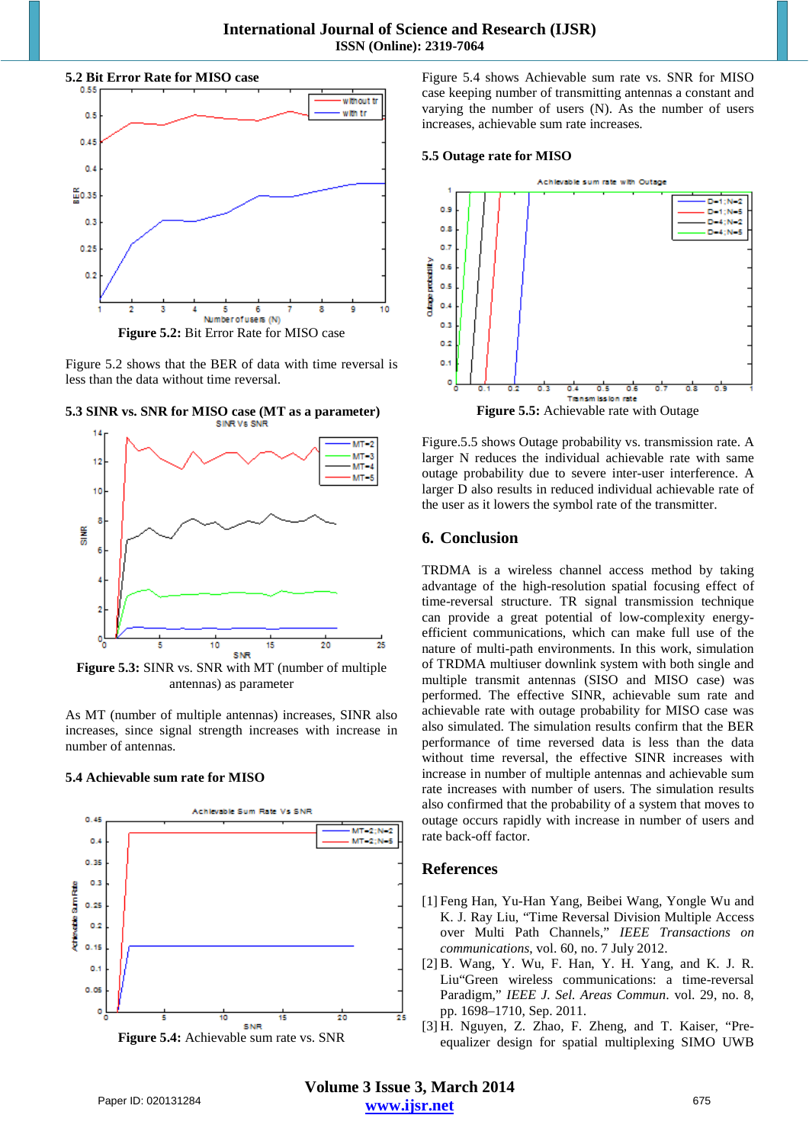



Figure 5.2 shows that the BER of data with time reversal is less than the data without time reversal.



**5.3 SINR vs. SNR for MISO case (MT as a parameter)** 

**Figure 5.3:** SINR vs. SNR with MT (number of multiple antennas) as parameter

As MT (number of multiple antennas) increases, SINR also increases, since signal strength increases with increase in number of antennas.

#### **5.4 Achievable sum rate for MISO**



Figure 5.4 shows Achievable sum rate vs. SNR for MISO case keeping number of transmitting antennas a constant and varying the number of users (N). As the number of users increases, achievable sum rate increases.

#### **5.5 Outage rate for MISO**



Figure.5.5 shows Outage probability vs. transmission rate. A larger N reduces the individual achievable rate with same outage probability due to severe inter-user interference. A larger D also results in reduced individual achievable rate of the user as it lowers the symbol rate of the transmitter.

## **6. Conclusion**

TRDMA is a wireless channel access method by taking advantage of the high-resolution spatial focusing effect of time-reversal structure. TR signal transmission technique can provide a great potential of low-complexity energyefficient communications, which can make full use of the nature of multi-path environments. In this work, simulation of TRDMA multiuser downlink system with both single and multiple transmit antennas (SISO and MISO case) was performed. The effective SINR, achievable sum rate and achievable rate with outage probability for MISO case was also simulated. The simulation results confirm that the BER performance of time reversed data is less than the data without time reversal, the effective SINR increases with increase in number of multiple antennas and achievable sum rate increases with number of users. The simulation results also confirmed that the probability of a system that moves to outage occurs rapidly with increase in number of users and rate back-off factor.

## **References**

- [1] Feng Han, Yu-Han Yang, Beibei Wang, Yongle Wu and K. J. Ray Liu, "Time Reversal Division Multiple Access over Multi Path Channels," *IEEE Transactions on communications*, vol. 60, no. 7 July 2012.
- [2] B. Wang, Y. Wu, F. Han, Y. H. Yang, and K. J. R. Liu"Green wireless communications: a time-reversal Paradigm," *IEEE J. Sel. Areas Commun*. vol. 29, no. 8, pp. 1698–1710, Sep. 2011.
- [3] H. Nguyen, Z. Zhao, F. Zheng, and T. Kaiser, "Preequalizer design for spatial multiplexing SIMO UWB